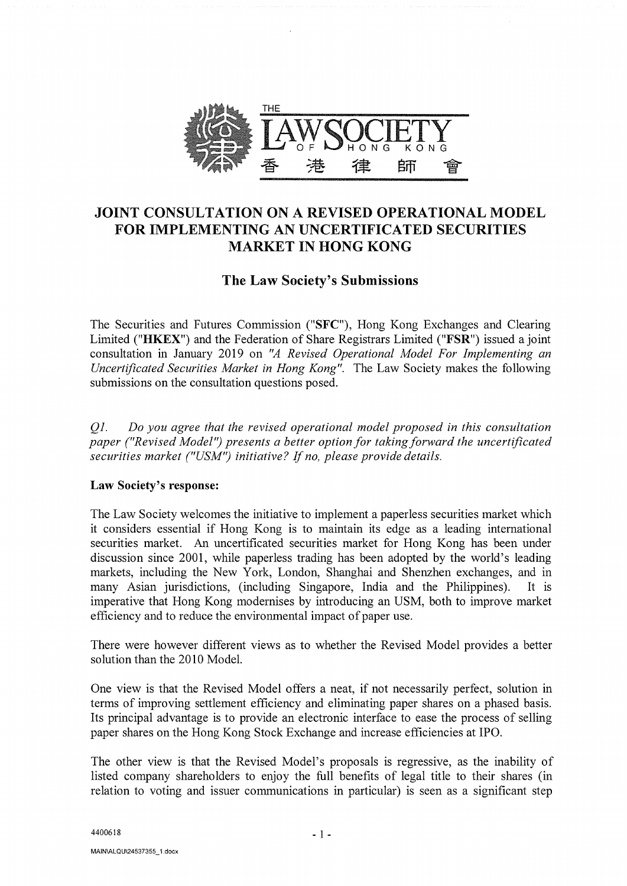

# JOINT CONSULTATION ON A REVISED OPERATIONAL MODEL FOR IMPLEMENTING AN UNCERTIFICATED SECURITIES MARKET IN HONG KONG

# The Law Society's Submissions

The Securities and Futures Commission ("SFC"), Hong Kong Exchanges and Clearing Limited ("HKEX") and the Federation of Share Registrars Limited ("FSR") issued a joint consultation in January 2019 on *"A Revised Operational Model For Implementing an Uncertificated Securities Market in Hong Kong".* The Law Society makes the following submissions on the consultation questions posed.

*Ql. Do you agree that the revised operational model proposed in this consultation paper ("Revised Model") presents a better option for taking forward the uncertificated securities market ("USM') initiative? If no, please provide details.* 

#### Law Society's response:

The Law Society welcomes the initiative to implement a paperless securities market which it considers essential if Hong Kong is to maintain its edge as a leading international securities market. An uncertificated securities market for Hong Kong has been under discussion since 2001, while paperless trading has been adopted by the world's leading markets, including the New York, London, Shanghai and Shenzhen exchanges, and in many Asian jurisdictions, (including Singapore, India and the Philippines). It is imperative that Hong Kong modernises by introducing an USM, both to improve market efficiency and to reduce the environmental impact of paper use.

There were however different views as to whether the Revised Model provides a better solution than the 2010 Model.

One view is that the Revised Model offers a neat, if not necessarily perfect, solution in terms of improving settlement efficiency and eliminating paper shares on a phased basis. Its principal advantage is to provide an electronic interface to ease the process of selling paper shares on the Hong Kong Stock Exchange and increase efficiencies at IPO.

The other view is that the Revised Model's proposals is regressive, as the inability of listed company shareholders to enjoy the full benefits of legal title to their shares (in relation to voting and issuer communications in particular) is seen as a significant step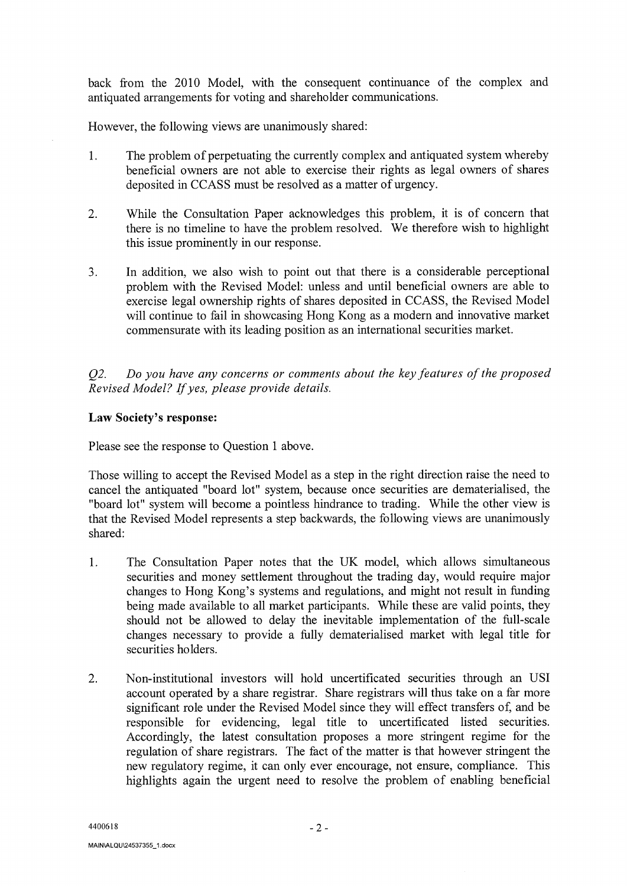back from the 2010 Model, with the consequent continuance of the complex and antiquated arrangements for voting and shareholder communications.

However, the following views are unanimously shared:

- 1. The problem of perpetuating the currently complex and antiquated system whereby beneficial owners are not able to exercise their rights as legal owners of shares deposited in CCASS must be resolved as a matter of urgency.
- 2. While the Consultation Paper acknowledges this problem, it is of concern that there is no timeline to have the problem resolved. We therefore wish to highlight this issue prominently in our response.
- 3. In addition, we also wish to point out that there is a considerable perceptional problem with the Revised Model: unless and until beneficial owners are able to exercise legal ownership rights of shares deposited in CCASS, the Revised Model will continue to fail in showcasing Hong Kong as a modern and innovative market commensurate with its leading position as an international securities market.

*Q2. Do you have any concerns or comments about the key features of the proposed Revised Model? If yes, please provide details.* 

# Law Society's response:

Please see the response to Question 1 above.

Those willing to accept the Revised Model as a step in the right direction raise the need to cancel the antiquated "board lot" system, because once securities are dematerialised, the "board lot" system will become a pointless hindrance to trading. While the other view is that the Revised Model represents a step backwards, the following views are unanimously shared:

- The Consultation Paper notes that the UK model, which allows simultaneous  $\mathbf{1}$ . securities and money settlement throughout the trading day, would require major changes to Hong Kong's systems and regulations, and might not result in funding being made available to all market participants. While these are valid points, they should not be allowed to delay the inevitable implementation of the full-scale changes necessary to provide a fully dematerialised market with legal title for securities holders.
- 2. Non-institutional investors will hold uncertificated securities through an USI account operated by a share registrar. Share registrars will thus take on a far more significant role under the Revised Model since they will effect transfers of, and be responsible for evidencing, legal title to uncertificated listed securities. Accordingly, the latest consultation proposes a more stringent regime for the regulation of share registrars. The fact of the matter is that however stringent the new regulatory regime, it can only ever encourage, not ensure, compliance. This highlights again the urgent need to resolve the problem of enabling beneficial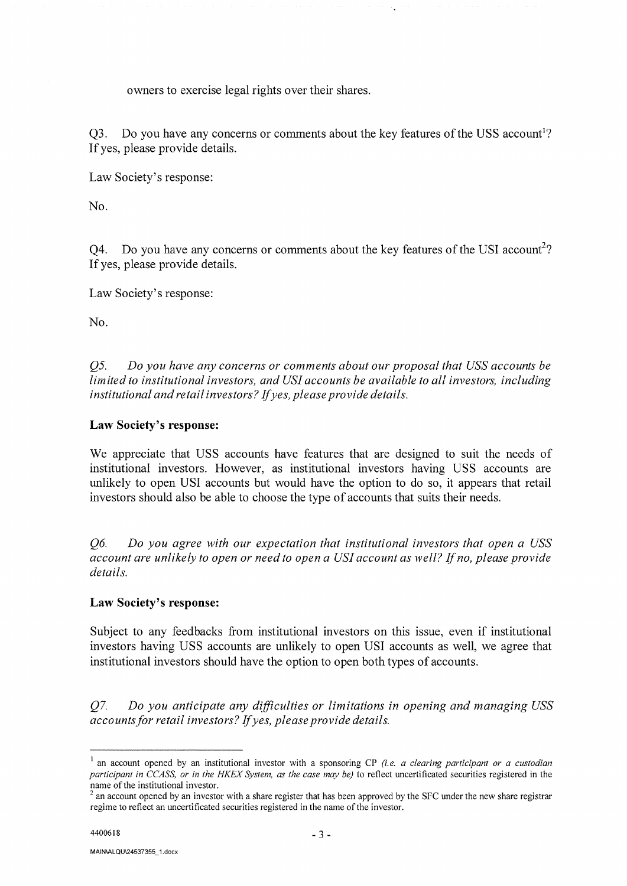owners to exercise legal rights over their shares.

Q3. Do you have any concerns or comments about the key features of the USS account'? If yes, please provide details.

Law Society's response:

No.

Q4. Do you have any concerns or comments about the key features of the USI account<sup>2</sup>? If yes, please provide details.

Law Society's response:

No.

*Q5. Do you have any concerns or comments about our proposal that USS accounts be limited to institutional investors, and USI accounts be available to all investors, including institutional and retail investors? Ifyes, please provide details.* 

# **Law Society's response:**

We appreciate that USS accounts have features that are designed to suit the needs of institutional investors. However, as institutional investors having USS accounts are unlikely to open USI accounts but would have the option to do so, it appears that retail investors should also be able to choose the type of accounts that suits their needs.

*Q6. Do you agree with our expectation that institutional investors that open a USS account are unlikely to open or need to open a USI account as well? If no, please provide details.* 

#### **Law Society's response:**

Subject to any feedbacks from institutional investors on this issue, even if institutional investors having USS accounts are unlikely to open USI accounts as well, we agree that institutional investors should have the option to open both types of accounts.

*Q7. Do you anticipate any difficulties or limitations in opening and managing USS accounts for retail investors? Ifyes, please provide details.* 

an account opened by an institutional investor with a sponsoring CP *(i.e. a clearing participant or a custodian participant in CCASS, or in the HKEX System, as the case may be)* to reflect uncertificated securities registered in the name of the institutional investor.

<sup>&</sup>lt;sup>2</sup> an account opened by an investor with a share register that has been approved by the SFC under the new share registrar regime to reflect an uncertificated securities registered in the name of the investor.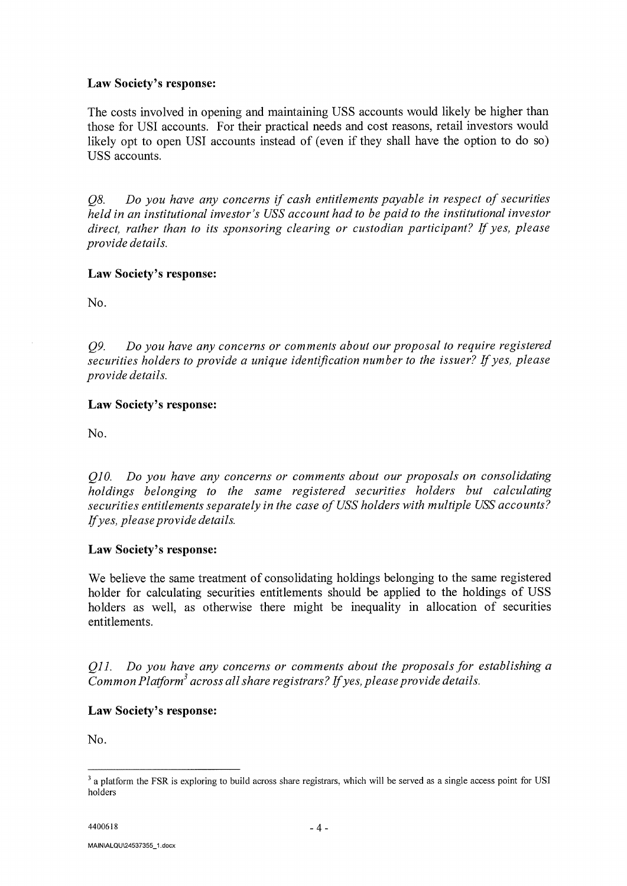# **Law Society's response:**

The costs involved in opening and maintaining USS accounts would likely be higher than those for USI accounts. For their practical needs and cost reasons, retail investors would likely opt to open USI accounts instead of (even if they shall have the option to do so) USS accounts.

*Q8. Do you have any concerns if cash entitlements payable in respect of securities held in an institutional investor's USS account had to be paid to the institutional investor direct, rather than to its sponsoring clearing or custodian participant? If yes, please provide details.* 

# **Law Society's response:**

No.

*Q9. Do you have any concerns or comments about our proposal to require registered securities holders to provide a unique identification number to the issuer? If yes, please provide details.* 

# **Law Society's response:**

No.

*Q10. Do you have any concerns or comments about our proposals on consolidating holdings belonging to the same registered securities holders but calculating securities entitlements separately in the case of USS holders with multiple USS accounts? If yes, please provide details.* 

# **Law Society's response:**

We believe the same treatment of consolidating holdings belonging to the same registered holder for calculating securities entitlements should be applied to the holdings of USS holders as well, as otherwise there might be inequality in allocation of securities entitlements.

*Q11. Do you have any concerns or comments about the proposals for establishing a Common Plaffbrm3across all share registrars? If yes, please provide details.* 

#### **Law Society's response:**

No.

<sup>&</sup>lt;sup>3</sup> a platform the FSR is exploring to build across share registrars, which will be served as a single access point for USI holders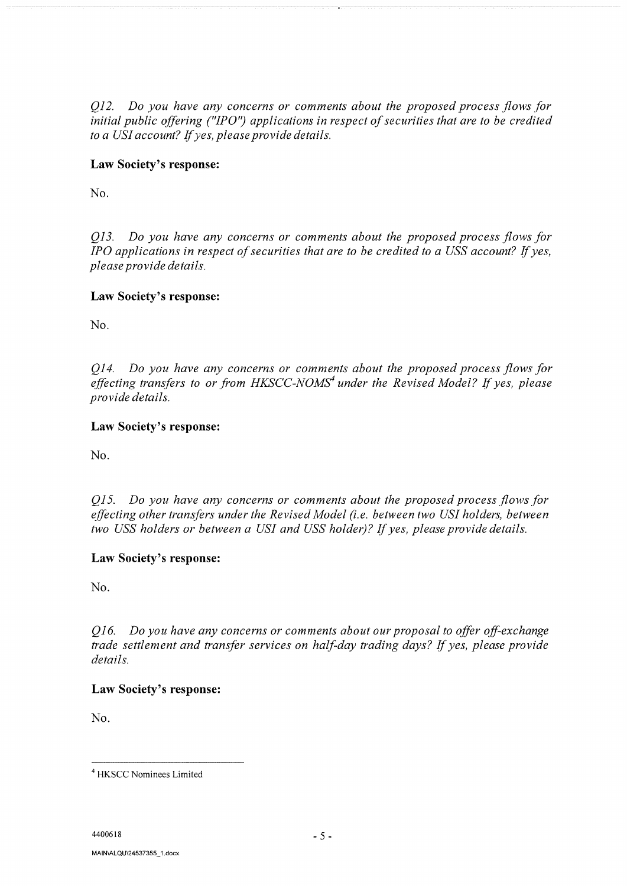*Q12. Do you have any concerns or comments about the proposed process flows for initial public offering ("IPO') applications in respect of securities that are to be credited to a USI account? If yes, please provide details.* 

# Law Society's response:

No.

*Q13. Do you have any concerns or comments about the proposed process flows for IPO applications in respect of securities that are to be credited to a USS account? If yes, please provide details.* 

# Law Society's response:

No.

*Q14. Do you have any concerns or comments about the proposed process flows for effecting transfers to or from HKSCC-NOMS4under the Revised Model? If yes, please provide details.* 

# Law Society's response:

No.

*Q15. Do you have any concerns or comments about the proposed process flows for effecting other transfers under the Revised Model (i.e. between two USI holders, between two USS holders or between a USI and USS holder)? If yes, please provide details.* 

#### Law Society's response:

No.

*Q16. Do you have any concerns or comments about our proposal to offer off-exchange trade settlement and transfer services on half-day trading days? If yes, please provide details.* 

#### Law Society's response:

No.

<sup>4</sup>HKSCC Nominees Limited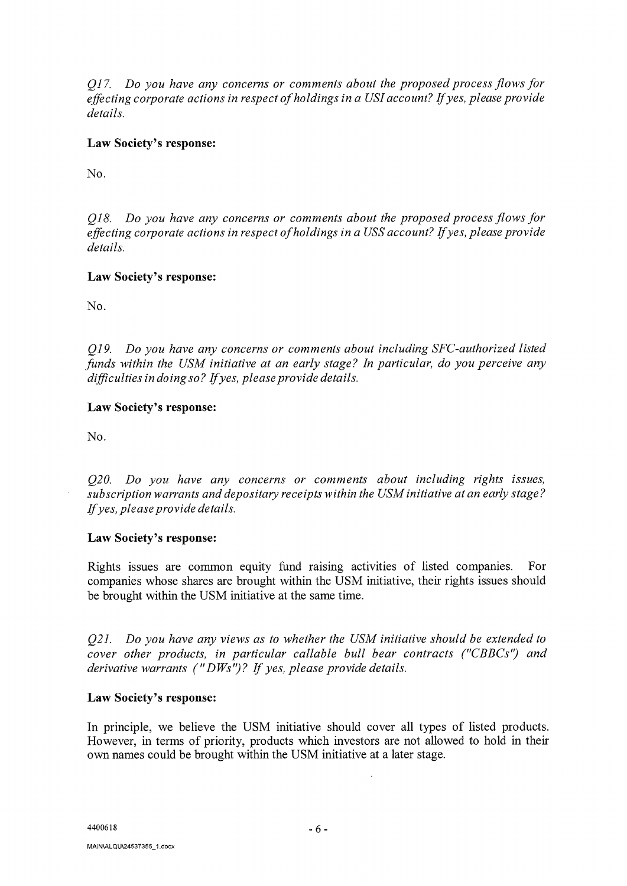*Q17. Do you have any concerns or comments about the proposed process flows for effecting corporate actions in respect of holdings in a USI account? If yes, please provide details.* 

# **Law Society's response:**

No.

*Q18. Do you have any concerns or comments about the proposed process flows for effecting corporate actions in respect of holdings in a USS account? If yes, please provide details.* 

# **Law Society's response:**

No.

*Q19. Do you have any concerns or comments about including SFC-authorized listed funds within the USM initiative at an early stage? In particular, do you perceive any difficulties in doing so? If yes, please provide details.* 

# **Law Society's response:**

No.

*Q20. Do you have any concerns or comments about including rights issues, subscription warrants and depositary receipts within the USM initiative at an early stage? If yes, please provide details.* 

# **Law Society's response:**

Rights issues are common equity fund raising activities of listed companies. For companies whose shares are brought within the USM initiative, their rights issues should be brought within the USM initiative at the same time.

*Q21. Do you have any views as to whether the USM initiative should be extended to cover other products, in particular callable bull bear contracts ("CBBCs") and derivative warrants ( " DWs")? If yes, please provide details.* 

# **Law Society's response:**

In principle, we believe the USM initiative should cover all types of listed products. However, in terms of priority, products which investors are not allowed to hold in their own names could be brought within the USM initiative at a later stage.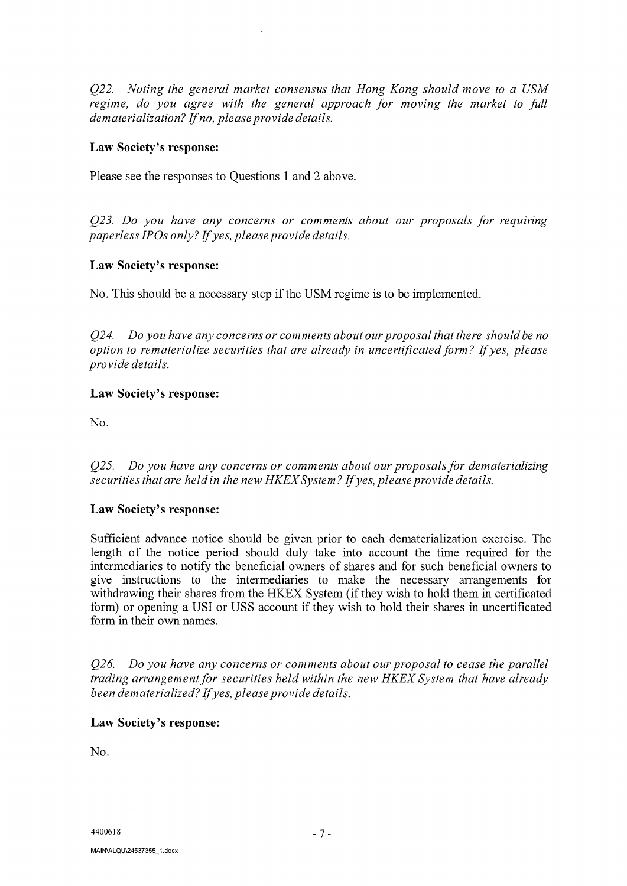*Q22. Noting the general market consensus that Hong Kong should move to a USM regime, do you agree with the general approach for moving the market to full dematerialization? If no, please provide details.* 

# **Law Society's response:**

Please see the responses to Questions 1 and 2 above.

*Q23. Do you have any concerns or comments about our proposals for requiring paperless IPOs only? If yes, please provide details.* 

# **Law Society's response:**

No. This should be a necessary step if the USM regime is to be implemented.

*Q24. Do you have any concerns or comments about our proposal that there should be no option to rematerialize securities that are already in uncertificated form? If yes, please provide details.* 

#### **Law Society's response:**

No.

*Q25. Do you have any concerns or comments about our proposals for dematerializing securities that are held in the new HKEX System? If yes, please provide details.* 

# **Law Society's response:**

Sufficient advance notice should be given prior to each dematerialization exercise. The length of the notice period should duly take into account the time required for the intermediaries to notify the beneficial owners of shares and for such beneficial owners to give instructions to the intermediaries to make the necessary arrangements for withdrawing their shares from the HKEX System (if they wish to hold them in certificated form) or opening a USI or USS account if they wish to hold their shares in uncertificated form in their own names.

*Q26. Do you have any concerns or comments about our proposal to cease the parallel trading arrangement for securities held within the new HKEX System that have already been dematerialized? If yes, please provide details.* 

#### **Law Society's response:**

No.